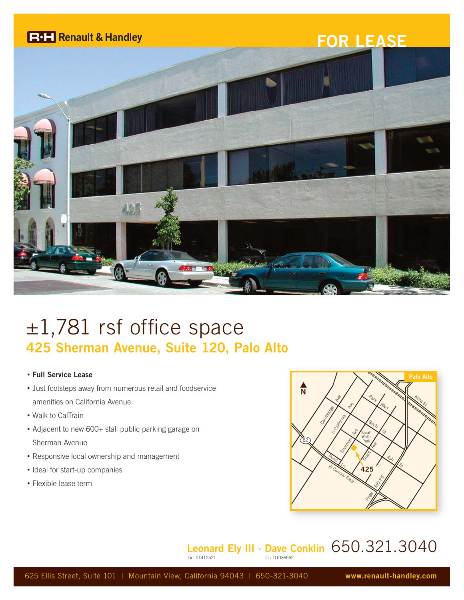

## $\pm 1,781$  rsf office space **425 Sherman Avenue, Suite 120, Palo Alto**

## • **Full Service Lease**

- Just footsteps away from numerous retail and foodservice amenities on California Avenue
- Walk to CalTrain
- Adjacent to new 600+ stall public parking garage on Sherman Avenue
- Responsive local ownership and management
- Ideal for start-up companies
- Flexible lease term



## **Leonard Ely III · Dave Conklin** 650.321.3040 Lic. 01036562

625 Ellis Street, Suite 101 | Mountain View, California 94043 | 650-321-3040 **www.renault-handley.com**